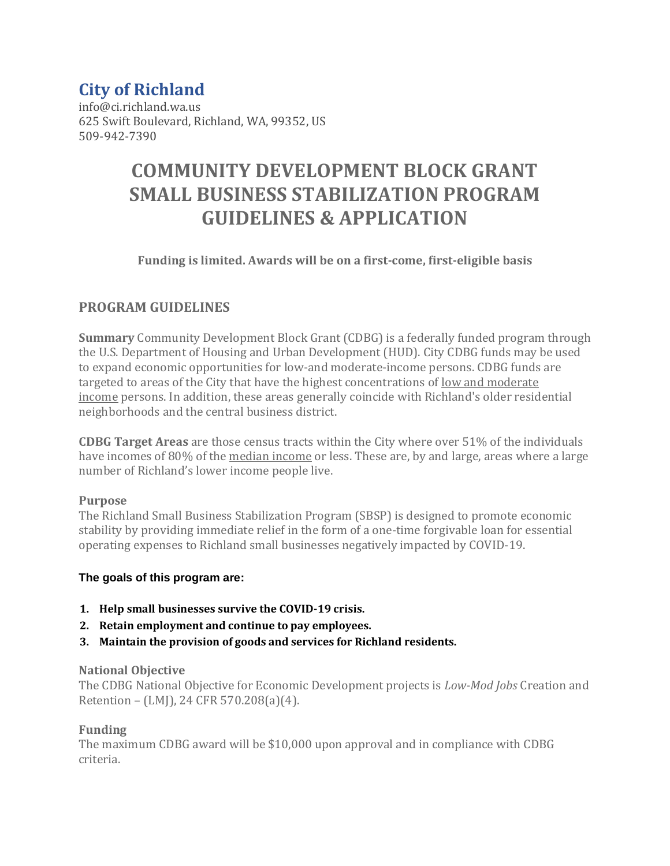## **City of Richland**

info@ci.richland.wa.us 625 Swift Boulevard, Richland, WA, 99352, US 509-942-7390

# **COMMUNITY DEVELOPMENT BLOCK GRANT SMALL BUSINESS STABILIZATION PROGRAM GUIDELINES & APPLICATION**

## **Funding is limited. Awards will be on a first-come, first-eligible basis**

## **PROGRAM GUIDELINES**

**Summary** Community Development Block Grant (CDBG) is a federally funded program through the U.S. Department of Housing and Urban Development (HUD). City CDBG funds may be used to expand economic opportunities for low-and moderate-income persons. CDBG funds are targeted to areas of the City that have the highest concentrations of low and moderate income persons. In addition, these areas generally coincide with Richland's older residential neighborhoods and the central business district.

**CDBG Target Areas** are those census tracts within the City where over 51% of the individuals have incomes of 80% of the <u>median income</u> or less. These are, by and large, areas where a large number of Richland's lower income people live.

### **Purpose**

The Richland Small Business Stabilization Program (SBSP) is designed to promote economic stability by providing immediate relief in the form of a one-time forgivable loan for essential operating expenses to Richland small businesses negatively impacted by COVID-19.

### **The goals of this program are:**

- **1. Help small businesses survive the COVID-19 crisis.**
- **2. Retain employment and continue to pay employees.**
- **3. Maintain the provision of goods and services for Richland residents.**

### **National Objective**

The CDBG National Objective for Economic Development projects is *Low-Mod Jobs* Creation and Retention – (LMJ), 24 CFR 570.208(a)(4).

### **Funding**

The maximum CDBG award will be \$10,000 upon approval and in compliance with CDBG criteria.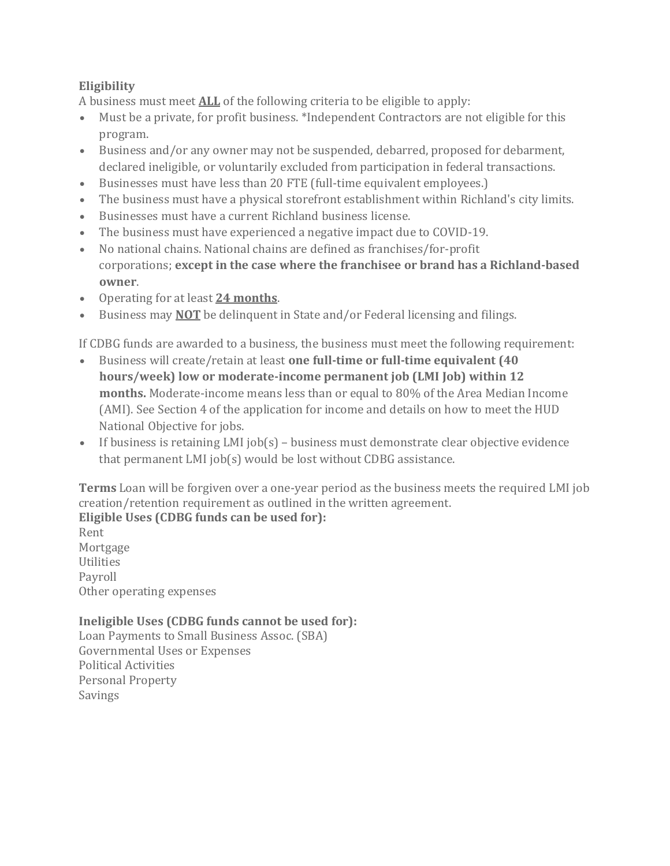## **Eligibility**

A business must meet **ALL** of the following criteria to be eligible to apply:

- Must be a private, for profit business. \*Independent Contractors are not eligible for this program.
- Business and/or any owner may not be suspended, debarred, proposed for debarment, declared ineligible, or voluntarily excluded from participation in federal transactions.
- Businesses must have less than 20 FTE (full-time equivalent employees.)
- The business must have a physical storefront establishment within Richland's city limits.
- Businesses must have a current Richland business license.
- The business must have experienced a negative impact due to COVID-19.
- No national chains. National chains are defined as franchises/for-profit corporations; **except in the case where the franchisee or brand has a Richland-based owner**.
- Operating for at least **24 months**.
- Business may **NOT** be delinquent in State and/or Federal licensing and filings.

If CDBG funds are awarded to a business, the business must meet the following requirement:

- Business will create/retain at least **one full-time or full-time equivalent (40 hours/week) low or moderate-income permanent job (LMI Job) within 12 months.** Moderate-income means less than or equal to 80% of the Area Median Income (AMI). See Section 4 of the application for income and details on how to meet the HUD National Objective for jobs.
- If business is retaining LMI job(s) business must demonstrate clear objective evidence that permanent LMI job(s) would be lost without CDBG assistance.

**Terms** Loan will be forgiven over a one-year period as the business meets the required LMI job creation/retention requirement as outlined in the written agreement. **Eligible Uses (CDBG funds can be used for):**

Rent Mortgage Utilities Payroll Other operating expenses

## **Ineligible Uses (CDBG funds cannot be used for):**

Loan Payments to Small Business Assoc. (SBA) Governmental Uses or Expenses Political Activities Personal Property Savings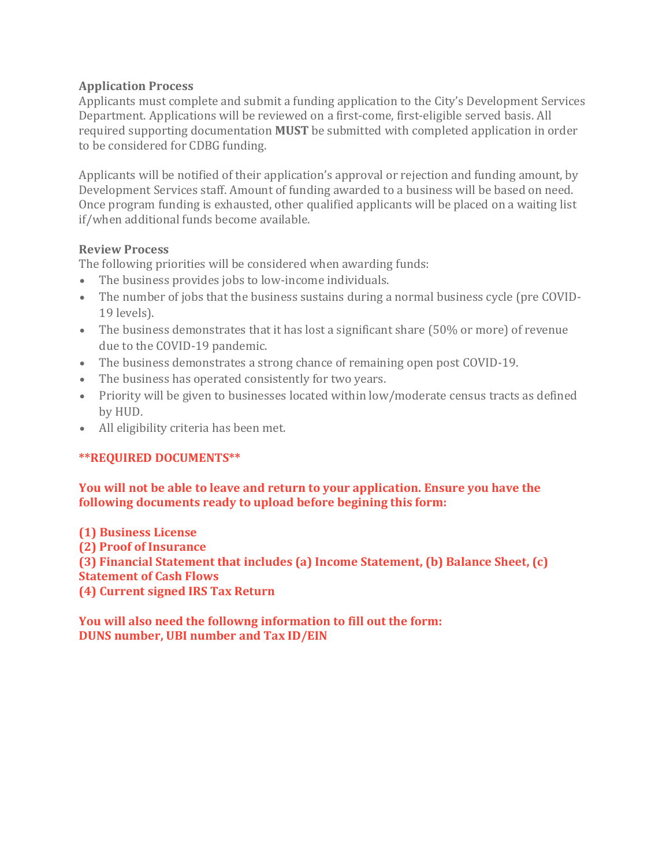## **Application Process**

Applicants must complete and submit a funding application to the City's Development Services Department. Applications will be reviewed on a first-come, first-eligible served basis. All required supporting documentation **MUST** be submitted with completed application in order to be considered for CDBG funding.

Applicants will be notified of their application's approval or rejection and funding amount, by Development Services staff. Amount of funding awarded to a business will be based on need. Once program funding is exhausted, other qualified applicants will be placed on a waiting list if/when additional funds become available.

## **Review Process**

The following priorities will be considered when awarding funds:

- The business provides jobs to low-income individuals.
- The number of jobs that the business sustains during a normal business cycle (pre COVID-19 levels).
- The business demonstrates that it has lost a significant share (50% or more) of revenue due to the COVID-19 pandemic.
- The business demonstrates a strong chance of remaining open post COVID-19.
- The business has operated consistently for two years.
- Priority will be given to businesses located within low/moderate census tracts as defined by HUD.
- All eligibility criteria has been met.

## **\*\*REQUIRED DOCUMENTS\*\***

**You will not be able to leave and return to your application. Ensure you have the following documents ready to upload before begining this form:**

**(1) Business License (2) Proof of Insurance (3) Financial Statement that includes (a) Income Statement, (b) Balance Sheet, (c) Statement of Cash Flows (4) Current signed IRS Tax Return**

**You will also need the followng information to fill out the form: DUNS number, UBI number and Tax ID/EIN**